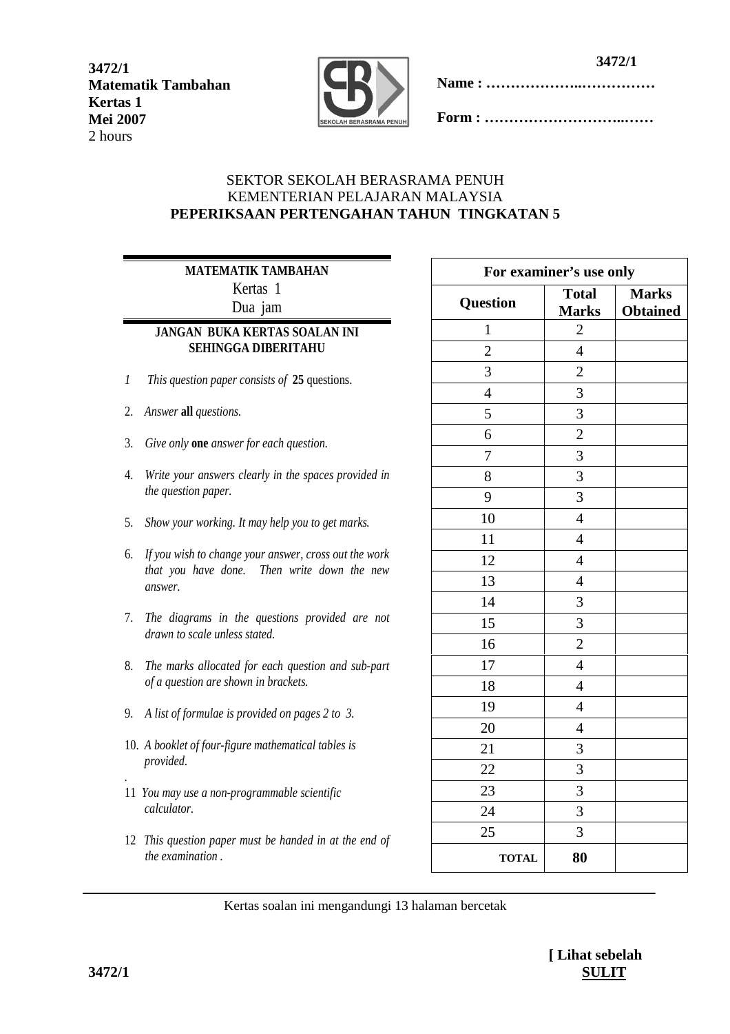**3472/1 Matematik Tambahan Kertas 1 Mei 2007** 2 hours



**Name : ………………..……………** 

**Form : ………………………..……** 

# SEKTOR SEKOLAH BERASRAMA PENUH KEMENTERIAN PELAJARAN MALAYSIA **PEPERIKSAAN PERTENGAHAN TAHUN TINGKATAN 5**

# **MATEMATIK TAMBAHAN**  Kertas 1

Dua jam

# **JANGAN BUKA KERTAS SOALAN INI SEHINGGA DIBERITAHU**

- *1 This question paper consists of* **25** questions.
- 2. *Answer* **all** *questions.*
- 3. *Give only* **one** *answer for each question.*
- 4. *Write your answers clearly in the spaces provided in the question paper.*
- 5. *Show your working. It may help you to get marks.*
- 6. *If you wish to change your answer, cross out the work that you have done. Then write down the new answer.*
- 7. *The diagrams in the questions provided are not drawn to scale unless stated.*
- 8. *The marks allocated for each question and sub-part of a question are shown in brackets.*
- 9. *A list of formulae is provided on pages 2 to 3.*
- 10. *A booklet of four-figure mathematical tables is provided.*
- *.*  11 *You may use a non-programmable scientific calculator.*
- 12 *This question paper must be handed in at the end of the examination .*

| For examiner's use only |                              |                                 |  |  |
|-------------------------|------------------------------|---------------------------------|--|--|
| <b>Question</b>         | <b>Total</b><br><b>Marks</b> | <b>Marks</b><br><b>Obtained</b> |  |  |
| $\mathbf{1}$            | $\overline{c}$               |                                 |  |  |
| $\overline{2}$          | $\overline{4}$               |                                 |  |  |
| 3                       | $\overline{2}$               |                                 |  |  |
| $\overline{4}$          | $\overline{3}$               |                                 |  |  |
| 5                       | 3                            |                                 |  |  |
| 6                       | $\overline{c}$               |                                 |  |  |
| $\overline{7}$          | 3                            |                                 |  |  |
| 8                       | 3                            |                                 |  |  |
| 9                       | $\overline{3}$               |                                 |  |  |
| 10                      | $\overline{4}$               |                                 |  |  |
| 11                      | $\overline{4}$               |                                 |  |  |
| 12                      | $\overline{4}$               |                                 |  |  |
| 13                      | $\overline{4}$               |                                 |  |  |
| 14                      | 3                            |                                 |  |  |
| 15                      | 3                            |                                 |  |  |
| 16                      | $\overline{c}$               |                                 |  |  |
| 17                      | $\overline{4}$               |                                 |  |  |
| 18                      | $\overline{4}$               |                                 |  |  |
| 19                      | $\overline{4}$               |                                 |  |  |
| 20                      | $\overline{4}$               |                                 |  |  |
| 21                      | 3                            |                                 |  |  |
| 22                      | $\overline{3}$               |                                 |  |  |
| 23                      | 3                            |                                 |  |  |
| 24                      | 3                            |                                 |  |  |
| 25                      | $\overline{3}$               |                                 |  |  |
| <b>TOTAL</b>            | 80                           |                                 |  |  |

Kertas soalan ini mengandungi 13 halaman bercetak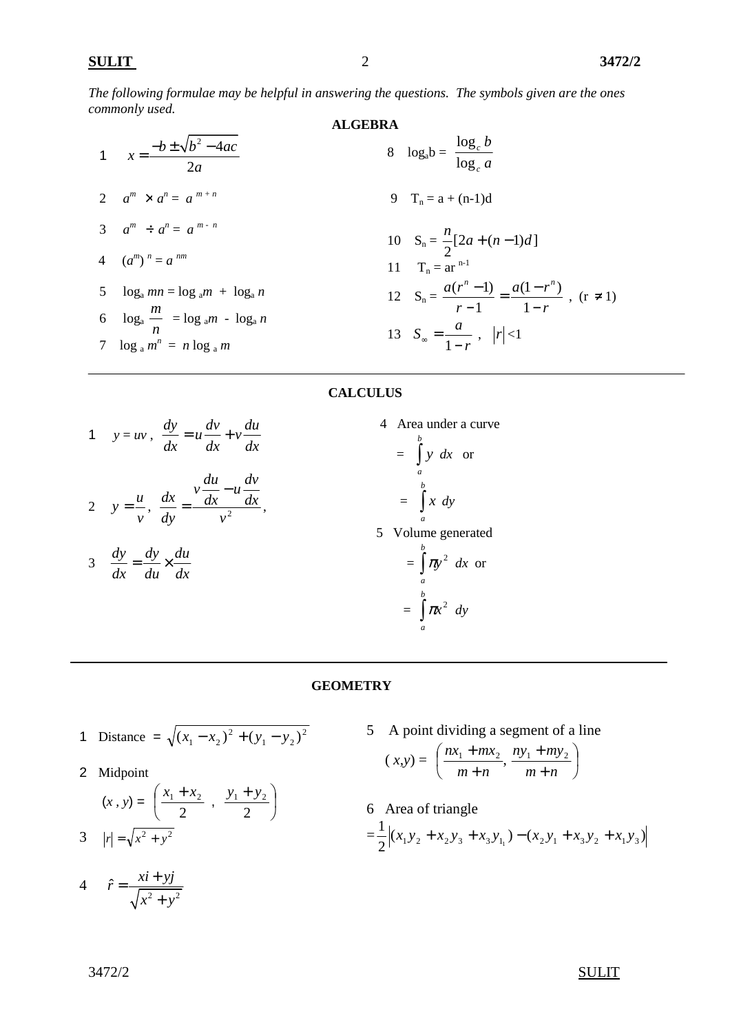*The following formulae may be helpful in answering the questions. The symbols given are the ones commonly used.*  **ALGEBRA** 

1 
$$
x = \frac{-b \pm \sqrt{b^2 - 4ac}}{2a}
$$
  
\n2  $a^m \times a^n = a^{m+n}$   
\n3  $a^m \div a^n = a^{m-n}$   
\n4  $(a^m)^n = a^{nm}$   
\n5  $\log_a m = \log_a m + \log_a n$   
\n6  $\log_a \frac{m}{n} = \log_a m - \log_a n$   
\n7  $\log_a m^n = n \log_a m$   
\n8  $\log_a b = \frac{\log_c b}{\log_c a}$   
\n9  $T_n = a + (n-1)d$   
\n10  $S_n = \frac{n}{2}[2a + (n-1)d]$   
\n11  $T_n = ar^{n-1}$   
\n12  $S_n = \frac{a(r^n - 1)}{r - 1} = \frac{a(1 - r^n)}{1 - r}$ , (r \ne 1)  
\n13  $S_\infty = \frac{a}{1 - r}$ ,  $|r| < 1$ 

#### **CALCULUS**

| 1 $y = uv$ , $\frac{dy}{dx} = u \frac{dv}{dx} + v \frac{du}{dx}$                        | 4 Area under a curve<br>$=\int_{a}^{b} y \, dx$ or |
|-----------------------------------------------------------------------------------------|----------------------------------------------------|
| 2 $y = \frac{u}{v}$ , $\frac{dx}{dy} = \frac{v \frac{du}{dx} - u \frac{dv}{dx}}{v^2}$ , | $=\int_a^b x \ dy$                                 |
|                                                                                         | 5 Volume generated                                 |
| 3 $\frac{dy}{dx} = \frac{dy}{du} \times \frac{du}{dx}$                                  | $=\int_a^b \pi y^2 dx$ or                          |
|                                                                                         | $=\int_{0}^{b} \pi x^{2} dy$                       |

#### **GEOMETRY**

- 1 Distance =  $\sqrt{(x_1 x_2)^2 + (y_1 y_2)^2}$  $1 \quad y_2$ 2  $(x_1 - x_2)^2 + (y_1 - y_2)$
- 2 Midpoint

$$
(x, y) = \left(\frac{x_1 + x_2}{2}, \frac{y_1 + y_2}{2}\right)
$$
  
3  $|r| = \sqrt{x^2 + y^2}$ 

 $4 \quad \hat{r} = \frac{xi + yj}{\sqrt{x^2 + y^2}}$  $x^2 + y$  $=\frac{xi+}{}$ +

5 A point dividing a segment of a line

$$
(x,y) = \left(\frac{nx_1 + mx_2}{m+n}, \frac{ny_1 + my_2}{m+n}\right)
$$

6 Area of triangle  $=\frac{1}{2}$  $(x_1y_2 + x_2y_3 + x_3y_1) - (x_2y_1 + x_3y_2 + x_1y_3)$ 2 1  $x_1 y_2 + x_2 y_3 + x_3 y_{1_1}$   $- (x_2 y_1 + x_3 y_2 + x_1 y_3)$ 

#### $3472/2$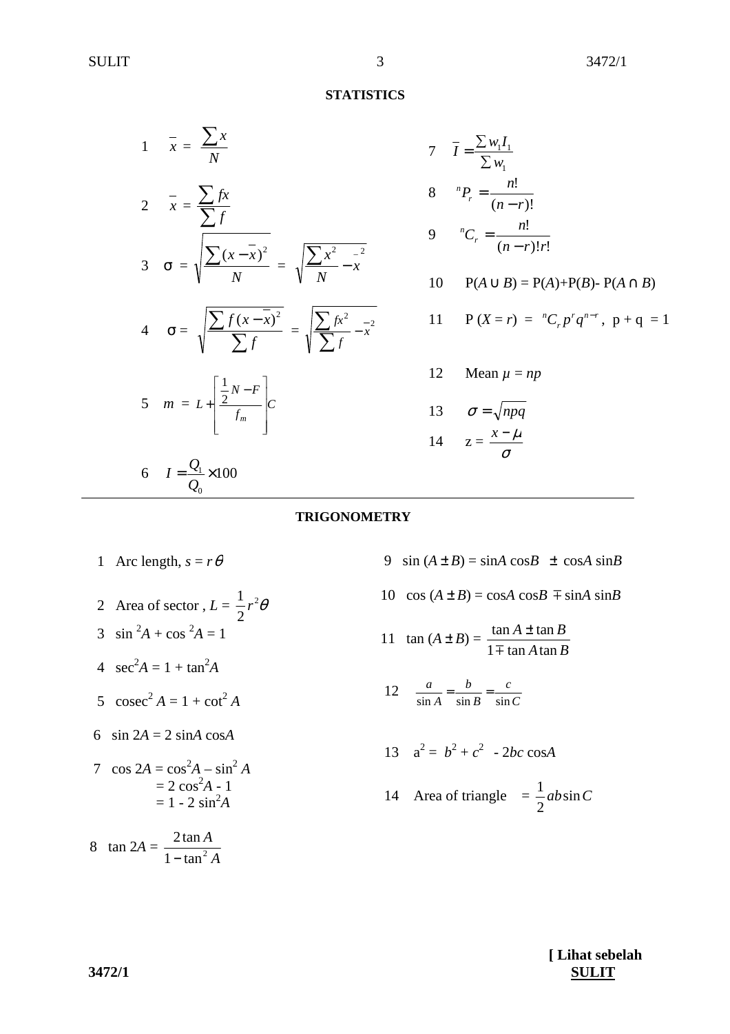#### **STATISTICS**

| $\frac{1}{1-x} = \frac{\sum x}{N}$                                                                     |
|--------------------------------------------------------------------------------------------------------|
| $2 \quad \frac{\pi}{x} = \frac{\sum fx}{\sum f}$                                                       |
| 3 $\sigma = \sqrt{\frac{\sum (x - \overline{x})^2}{N}} = \sqrt{\frac{\sum x^2 - x^2}{N}}$              |
| 4 $\sigma = \sqrt{\frac{\sum f(x - \bar{x})^2}{\sum f}} = \sqrt{\frac{\sum fx^2}{\sum f} - \bar{x}^2}$ |
| 5 $m = L + \left  \frac{\frac{1}{2}N - F}{f_m} \right  C$                                              |
| 6 $I = \frac{Q_1}{Q_0} \times 100$                                                                     |

7 
$$
\bar{I} = \frac{\sum w_i I_1}{\sum w_i}
$$
  
\n8  ${}^{n}P_r = \frac{n!}{(n-r)!}$   
\n9  ${}^{n}C_r = \frac{n!}{(n-r)!r!}$   
\n10  $P(A \cup B) = P(A) + P(B) - P(A \cap B)$   
\n11  $P(X = r) = {}^{n}C_r p^r q^{n-r}, p + q = 1$   
\n12  $\text{Mean } \mu = np$ 

# 13  $\sigma = \sqrt{npq}$ 14  $z = \frac{x}{\sigma}$  $x - \mu$

### **TRIGONOMETRY**

- 1 Arc length,  $s = r\theta$
- 2 Area of sector,  $L = \frac{1}{2}r^2$ 2  $r^2\theta$ 3  $\sin^2 A + \cos^2 A = 1$ 4  $\sec^2 A = 1 + \tan^2 A$ 5  $\csc^2 A = 1 + \cot^2 A$ 6  $\sin 2A = 2 \sin A \cos A$ 7  $\cos 2A = \cos^2 A - \sin^2 A$
- $= 2 \cos^2 A 1$  $= 1 - 2 \sin^2 A$

 8 tan 2*A* = *A A*  $1 - \tan^2$  $2\tan$ −

9 sin  $(A \pm B) = \sin A \cos B \pm \cos A \sin B$ 

- 10  $\cos(A \pm B) = \cos A \cos B \mp \sin A \sin B$
- 11  $\tan(A \pm B) =$ *A B*  $A \pm \tan B$  $1 \pm \tan A \tan$  $\tan A \pm \tan$  $\overline{+}$ ±
- 12  $rac{a}{\sin A} = \frac{b}{\sin B} = \frac{c}{\sin C}$ *c B b A a*  $\frac{a}{\sin A} = \frac{b}{\sin B} = \frac{c}{\sin C}$

$$
13 \quad a^2 = b^2 + c^2 - 2bc \cos A
$$

14 Area of triangle 
$$
=\frac{1}{2}ab\sin C
$$

**[ Lihat sebelah 3472/1 SULIT**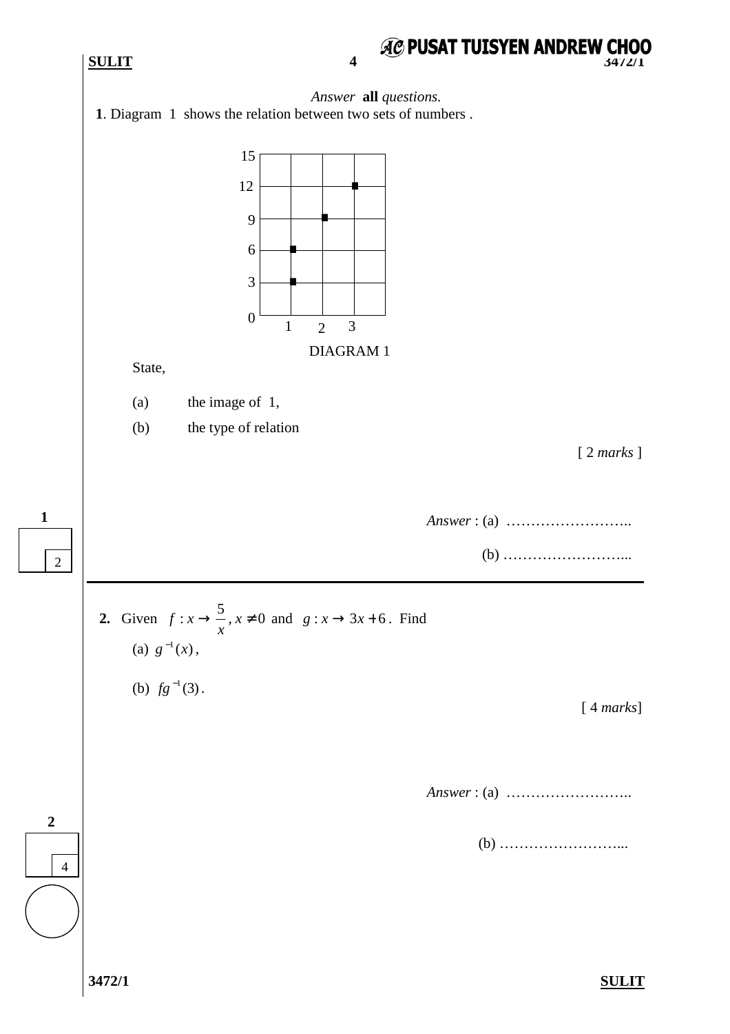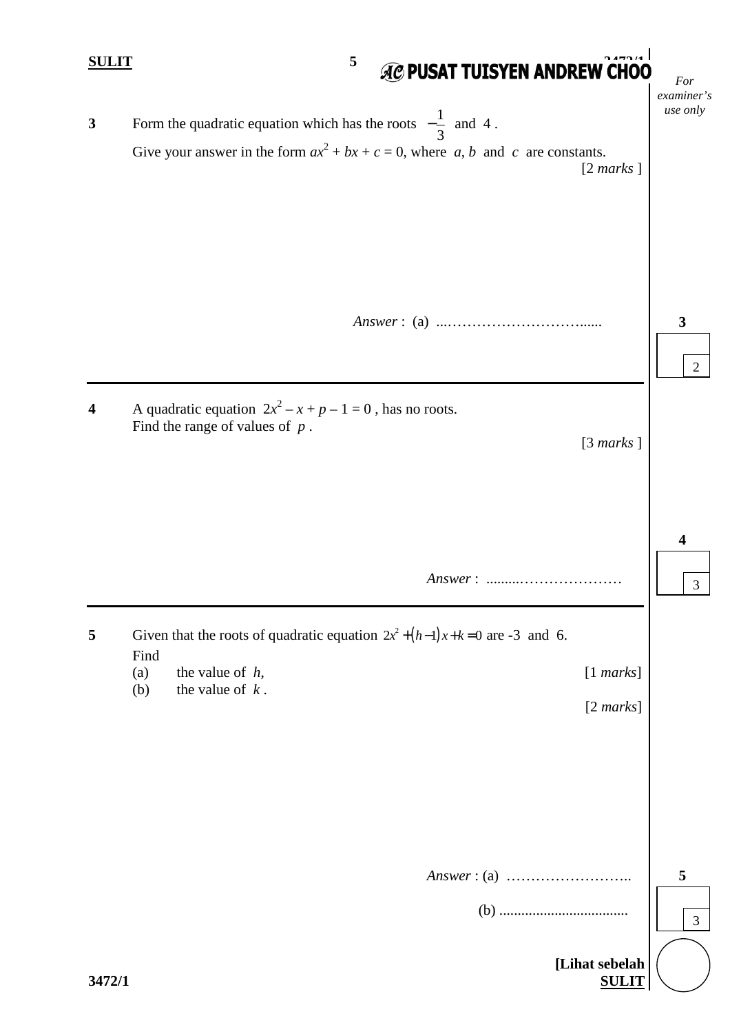| <u>SULIT</u>     | <b>AC PUSAT TUISYEN ANDREW CHOO</b><br>5                                                                                                                                           | For<br>examiner's |
|------------------|------------------------------------------------------------------------------------------------------------------------------------------------------------------------------------|-------------------|
| $\mathbf{3}$     | Form the quadratic equation which has the roots $-\frac{1}{3}$ and 4.<br>Give your answer in the form $ax^2 + bx + c = 0$ , where a, b and c are constants.<br>$[2 \text{ marks}]$ | use only          |
|                  |                                                                                                                                                                                    | 3<br>2            |
| $\boldsymbol{4}$ | A quadratic equation $2x^2 - x + p - 1 = 0$ , has no roots.<br>Find the range of values of $p$ .<br>[3 marks]                                                                      |                   |
|                  |                                                                                                                                                                                    | 4<br>3            |
| 5                | Given that the roots of quadratic equation $2x^2 + (h-1)x+k=0$ are -3 and 6.                                                                                                       |                   |
|                  | Find<br>the value of $h$ ,<br>[1 marks]<br>(a)<br>the value of $k$ .<br>(b)<br>$[2 \text{ marks}]$                                                                                 |                   |
|                  |                                                                                                                                                                                    |                   |
|                  | $(b) \ldots$                                                                                                                                                                       | 5<br>3            |
| 3472/1           | [Lihat sebelah<br><b>SULIT</b>                                                                                                                                                     |                   |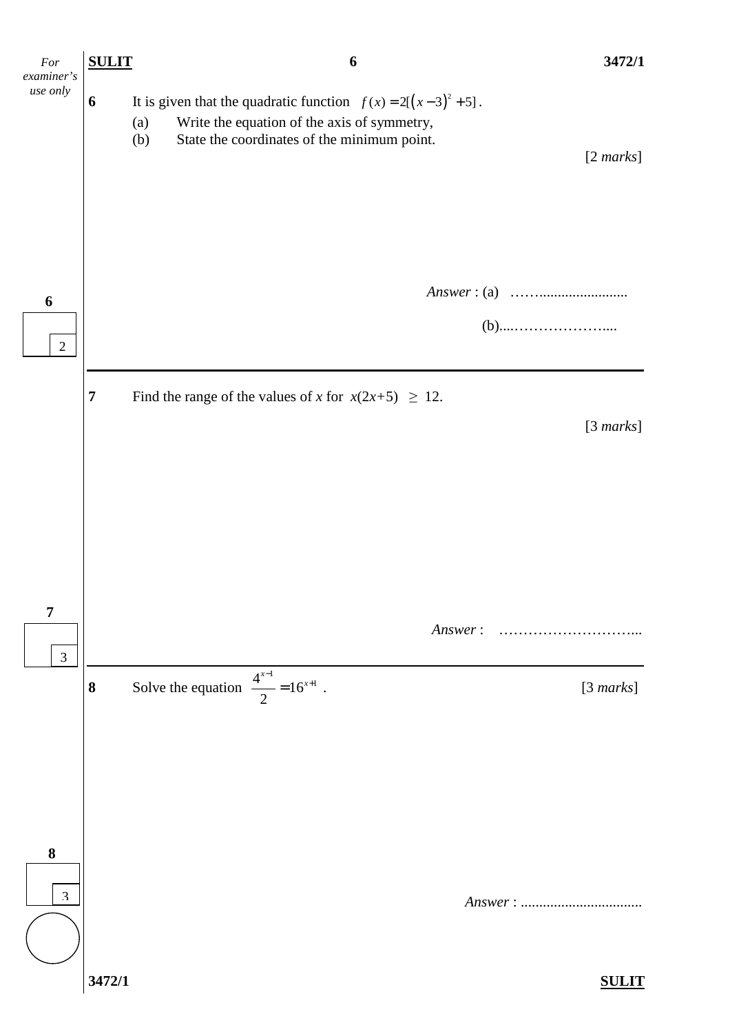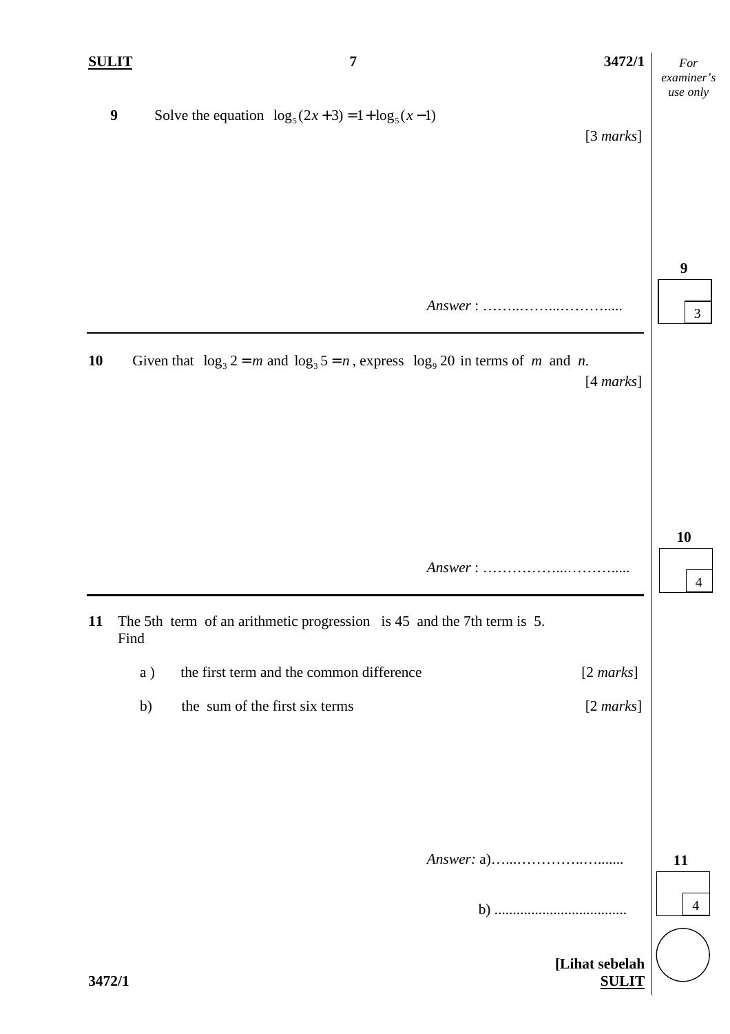4

4

**11** 

3

**9** 

**10** 

 **[Lihat sebelah 3472/1 SULIT 9** Solve the equation  $\log_5(2x+3) = 1 + \log_5(x-1)$ [3 *marks*]  *Answer* : ……..……...………..... **10** Given that  $\log_3 2 = m$  and  $\log_3 5 = n$ , express  $\log_9 20$  in terms of *m* and *n*. [4 *marks*] *Answer* : ……………...………..... **11** The 5th term of an arithmetic progression is 45 and the 7th term is 5. Find a ) the first term and the common difference [2 *marks*] b) the sum of the first six terms [2 *marks*] *Answer:* a)…...…………..…....... b) ....................................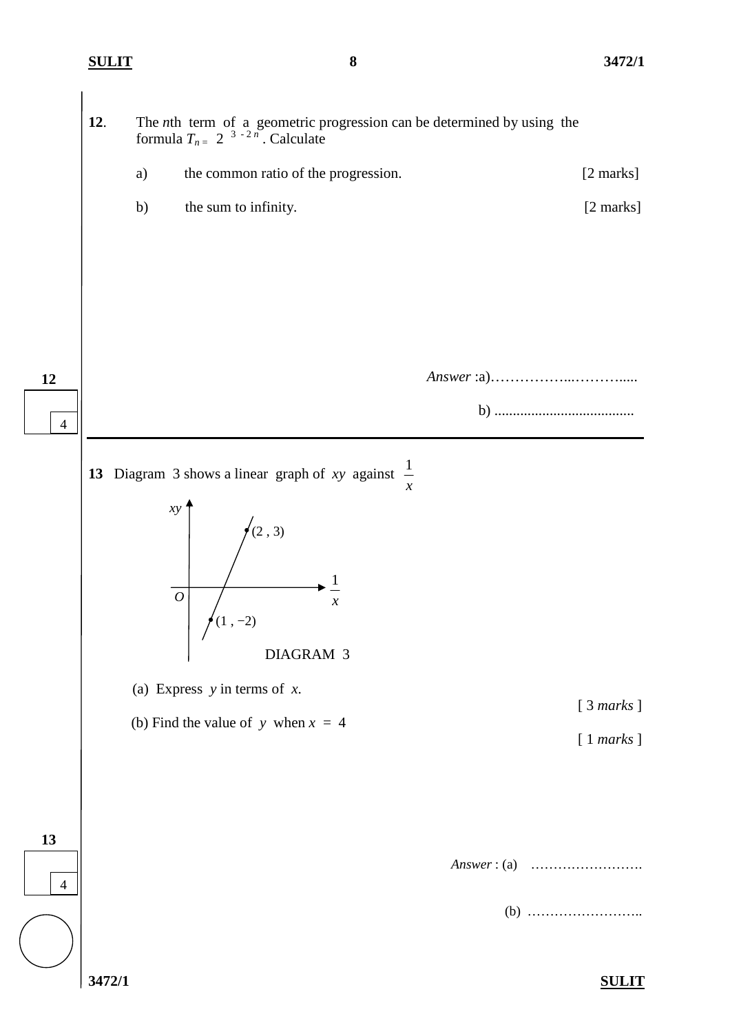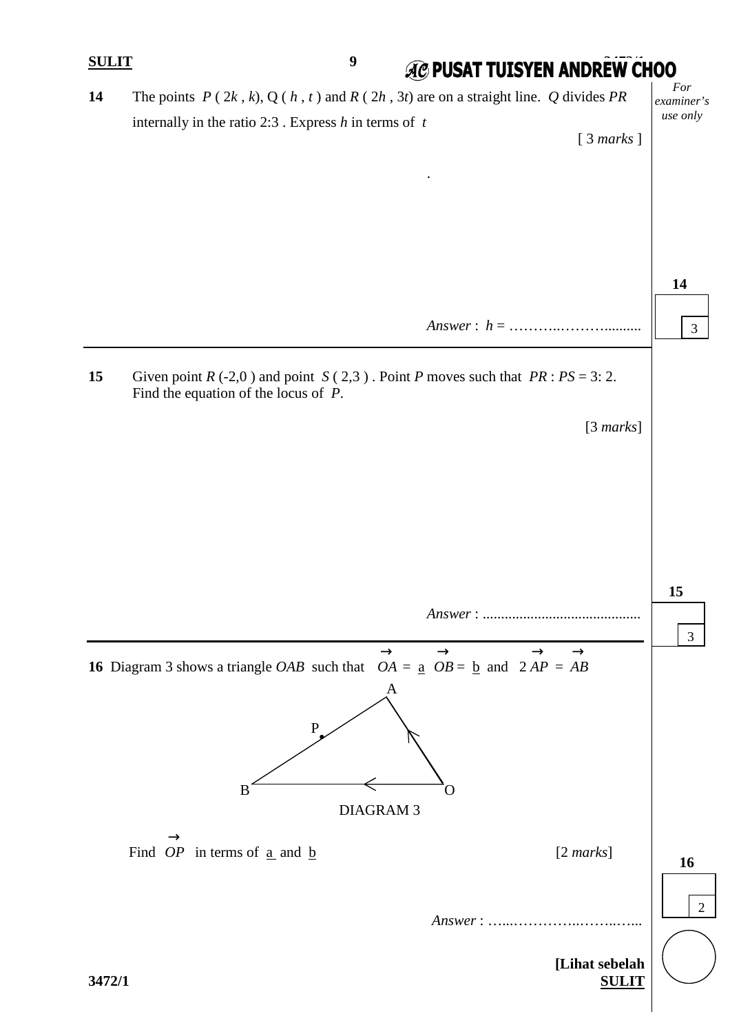| <b>SULIT</b> | $\boldsymbol{9}$<br><b>AC PUSAT TUISYEN ANDREW CHOO</b>                                                                                                                                     |                   |
|--------------|---------------------------------------------------------------------------------------------------------------------------------------------------------------------------------------------|-------------------|
| 14           | The points $P(2k, k)$ , $Q(h, t)$ and $R(2h, 3t)$ are on a straight line. Q divides PR                                                                                                      | For<br>examiner's |
|              | internally in the ratio 2:3 . Express $h$ in terms of $t$<br>[3 marks]                                                                                                                      | use only          |
|              |                                                                                                                                                                                             |                   |
|              |                                                                                                                                                                                             |                   |
|              |                                                                                                                                                                                             |                   |
|              |                                                                                                                                                                                             |                   |
|              |                                                                                                                                                                                             | 14                |
|              |                                                                                                                                                                                             | $\mathfrak{Z}$    |
| 15           | Given point $R(-2,0)$ and point $S(2,3)$ . Point P moves such that $PR : PS = 3: 2$ .<br>Find the equation of the locus of $P$ .                                                            |                   |
|              | [3 marks]                                                                                                                                                                                   |                   |
|              |                                                                                                                                                                                             |                   |
|              |                                                                                                                                                                                             |                   |
|              |                                                                                                                                                                                             |                   |
|              |                                                                                                                                                                                             |                   |
|              |                                                                                                                                                                                             |                   |
|              |                                                                                                                                                                                             | 15                |
|              |                                                                                                                                                                                             | $\mathfrak{Z}$    |
|              | $\rightarrow$<br>$\rightarrow$<br>$\rightarrow$<br>$\rightarrow$<br><b>16</b> Diagram 3 shows a triangle <i>OAB</i> such that $OA = \underline{a}$ $OB = \underline{b}$ and $2AP = AB$<br>A |                   |
|              | $\mathbf P$                                                                                                                                                                                 |                   |
|              | B<br>O                                                                                                                                                                                      |                   |
|              | <b>DIAGRAM 3</b>                                                                                                                                                                            |                   |
|              | Find $OP$ in terms of $\underline{a}$ and $\underline{b}$<br>$[2 \text{ marks}]$                                                                                                            | 16                |
|              |                                                                                                                                                                                             |                   |
|              | $Answer: \dots \dots \dots \dots \dots \dots \dots$                                                                                                                                         | $\overline{2}$    |
|              |                                                                                                                                                                                             |                   |
| 3472/1       | [Lihat sebelah<br><b>SULIT</b>                                                                                                                                                              |                   |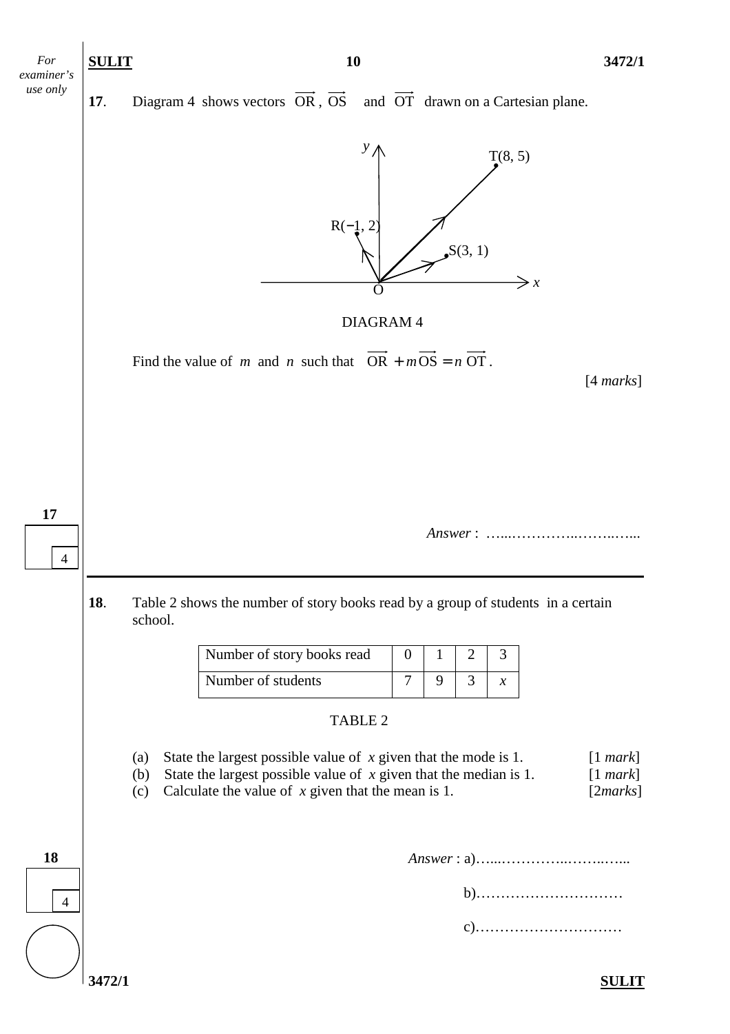

**17.** Diagram 4 shows vectors  $\overrightarrow{OR}$ ,  $\overrightarrow{OS}$  and  $\overrightarrow{OT}$  drawn on a Cartesian plane.



DIAGRAM 4

Find the value of *m* and *n* such that  $\overrightarrow{OR} + m\overrightarrow{OS} = n\overrightarrow{OT}$ .

[4 *marks*]

 *Answer* : …...…………..……..…...

**18**. Table 2 shows the number of story books read by a group of students in a certain school.

| Number of story books read |  |  |
|----------------------------|--|--|
| Number of students         |  |  |

## TABLE 2

- (a) State the largest possible value of *x* given that the mode is 1. [1 *mark*] (b) State the largest possible value of *x* given that the median is 1. [1 *mark*]
	- (c) Calculate the value of *x* given that the mean is 1. [2*marks*]

|--|

b)…………………………

c)…………………………

**17** 

4

4

**18**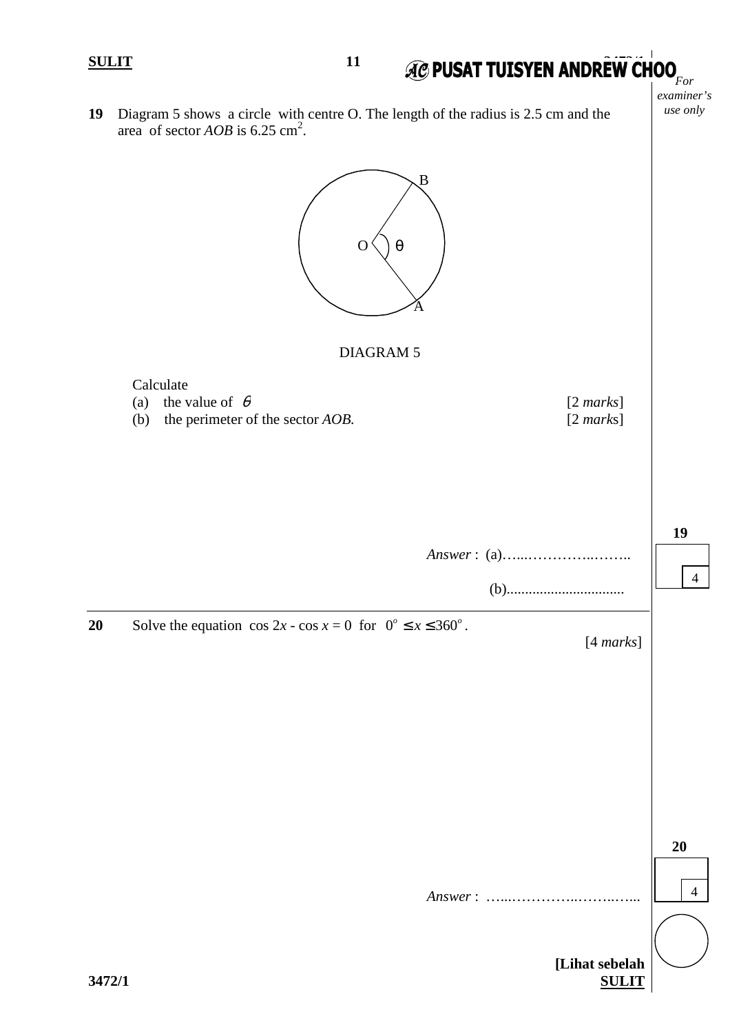Calculate

*For examiner's use only* 

**19** Diagram 5 shows a circle with centre O. The length of the radius is 2.5 cm and the area of sector  $AOB$  is 6.25 cm<sup>2</sup>.



|    | $\mathbf{u}_1$<br>$\frac{1}{2}$ rature of $\frac{1}{2}$<br>the perimeter of the sector AOB.<br>(b) | $\epsilon$ internet<br>$[2 \text{ marks}]$ |    |
|----|----------------------------------------------------------------------------------------------------|--------------------------------------------|----|
|    |                                                                                                    |                                            | 19 |
| 20 | Solve the equation $\cos 2x - \cos x = 0$ for $0^{\circ} \le x \le 360^{\circ}$ .                  | [4 marks]                                  |    |

|        |                                | 20 |
|--------|--------------------------------|----|
|        | Answer:                        | 4  |
| 3472/1 | [Lihat sebelah<br><b>SULIT</b> |    |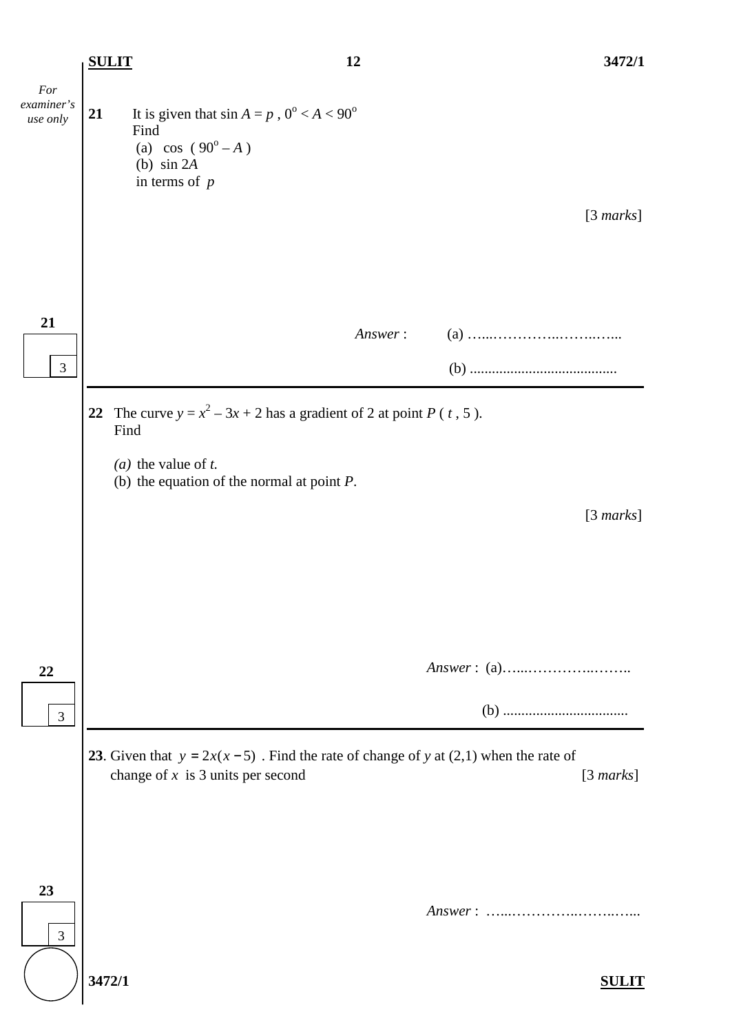